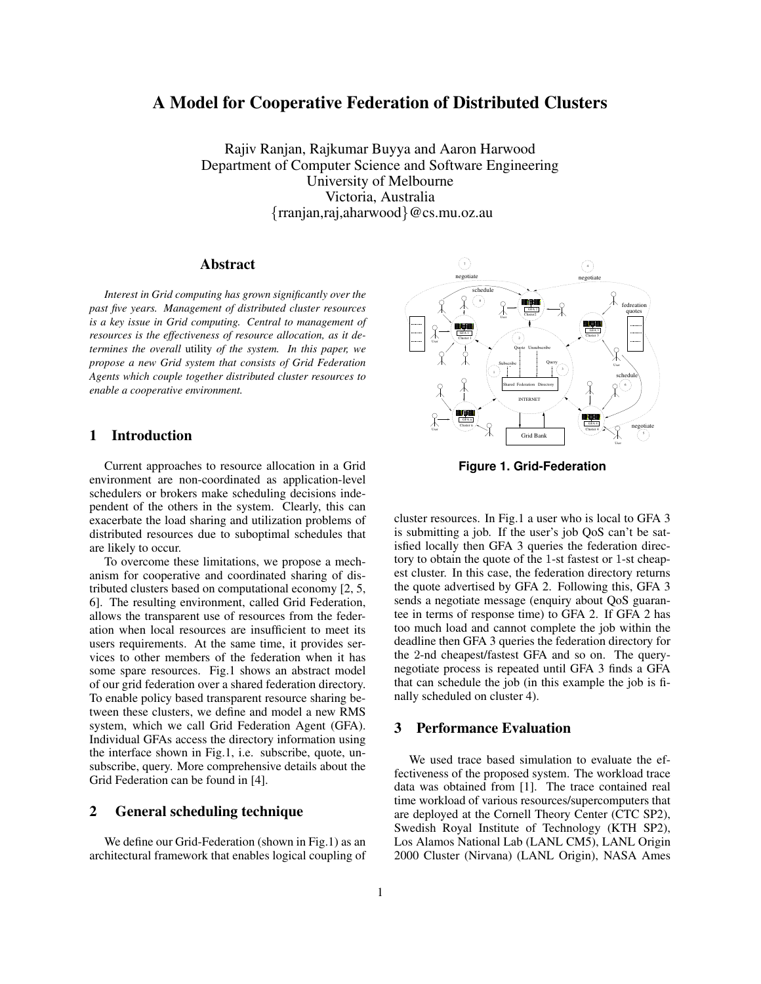# **A Model for Cooperative Federation of Distributed Clusters**

Rajiv Ranjan, Rajkumar Buyya and Aaron Harwood Department of Computer Science and Software Engineering University of Melbourne Victoria, Australia {rranjan,raj,aharwood}@cs.mu.oz.au

### **Abstract**

*Interest in Grid computing has grown significantly over the past five years. Management of distributed cluster resources is a key issue in Grid computing. Central to management of resources is the effectiveness of resource allocation, as it determines the overall* utility *of the system. In this paper, we propose a new Grid system that consists of Grid Federation Agents which couple together distributed cluster resources to enable a cooperative environment.*

# **1 Introduction**

Current approaches to resource allocation in a Grid environment are non-coordinated as application-level schedulers or brokers make scheduling decisions independent of the others in the system. Clearly, this can exacerbate the load sharing and utilization problems of distributed resources due to suboptimal schedules that are likely to occur.

To overcome these limitations, we propose a mechanism for cooperative and coordinated sharing of distributed clusters based on computational economy [2, 5, 6]. The resulting environment, called Grid Federation, allows the transparent use of resources from the federation when local resources are insufficient to meet its users requirements. At the same time, it provides services to other members of the federation when it has some spare resources. Fig.1 shows an abstract model of our grid federation over a shared federation directory. To enable policy based transparent resource sharing between these clusters, we define and model a new RMS system, which we call Grid Federation Agent (GFA). Individual GFAs access the directory information using the interface shown in Fig.1, i.e. subscribe, quote, unsubscribe, query. More comprehensive details about the Grid Federation can be found in [4].

### **2 General scheduling technique**

We define our Grid-Federation (shown in Fig.1) as an architectural framework that enables logical coupling of



**Figure 1. Grid-Federation**

cluster resources. In Fig.1 a user who is local to GFA 3 is submitting a job. If the user's job QoS can't be satisfied locally then GFA 3 queries the federation directory to obtain the quote of the 1-st fastest or 1-st cheapest cluster. In this case, the federation directory returns the quote advertised by GFA 2. Following this, GFA 3 sends a negotiate message (enquiry about QoS guarantee in terms of response time) to GFA 2. If GFA 2 has too much load and cannot complete the job within the deadline then GFA 3 queries the federation directory for the 2-nd cheapest/fastest GFA and so on. The querynegotiate process is repeated until GFA 3 finds a GFA that can schedule the job (in this example the job is finally scheduled on cluster 4).

## **3 Performance Evaluation**

We used trace based simulation to evaluate the effectiveness of the proposed system. The workload trace data was obtained from [1]. The trace contained real time workload of various resources/supercomputers that are deployed at the Cornell Theory Center (CTC SP2), Swedish Royal Institute of Technology (KTH SP2), Los Alamos National Lab (LANL CM5), LANL Origin 2000 Cluster (Nirvana) (LANL Origin), NASA Ames